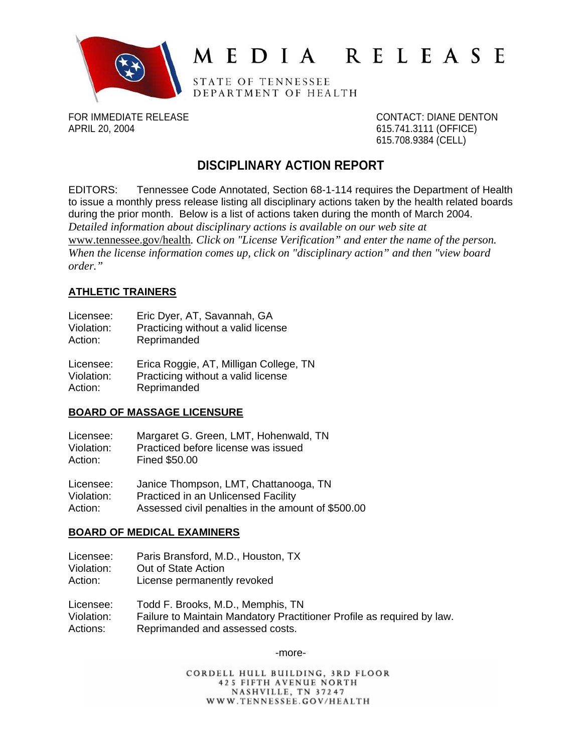

# MEDIA RELEASE

STATE OF TENNESSEE DEPARTMENT OF HEALTH

FOR IMMEDIATE RELEASE CONTACT: DIANE DENTON APRIL 20, 2004 **615.741.3111 (OFFICE)** 

615.708.9384 (CELL)

# **DISCIPLINARY ACTION REPORT**

EDITORS: Tennessee Code Annotated, Section 68-1-114 requires the Department of Health to issue a monthly press release listing all disciplinary actions taken by the health related boards during the prior month. Below is a list of actions taken during the month of March 2004. *Detailed information about disciplinary actions is available on our web site at*  [www.tennessee.gov/health](http://www.tennessee.gov/health)*. Click on "License Verification" and enter the name of the person. When the license information comes up, click on "disciplinary action" and then "view board order."* 

# **ATHLETIC TRAINERS**

| Licensee:  | Eric Dyer, AT, Savannah, GA            |
|------------|----------------------------------------|
| Violation: | Practicing without a valid license     |
| Action:    | Reprimanded                            |
| Licensee:  | Erica Roggie, AT, Milligan College, TN |
| Violation: | Practicing without a valid license     |

Action: Reprimanded

## **BOARD OF MASSAGE LICENSURE**

Licensee: Margaret G. Green, LMT, Hohenwald, TN Violation: Practiced before license was issued Action: Fined \$50.00

Licensee: Janice Thompson, LMT, Chattanooga, TN Violation: Practiced in an Unlicensed Facility Action: Assessed civil penalties in the amount of \$500.00

## **BOARD OF MEDICAL EXAMINERS**

Licensee: Paris Bransford, M.D., Houston, TX

Violation: Out of State Action

Action: License permanently revoked

Licensee: Todd F. Brooks, M.D., Memphis, TN Violation: Failure to Maintain Mandatory Practitioner Profile as required by law. Actions: Reprimanded and assessed costs.

-more-

CORDELL HULL BUILDING, 3RD FLOOR **425 FIFTH AVENUE NORTH** NASHVILLE, TN 37247 WWW.TENNESSEE.GOV/HEALTH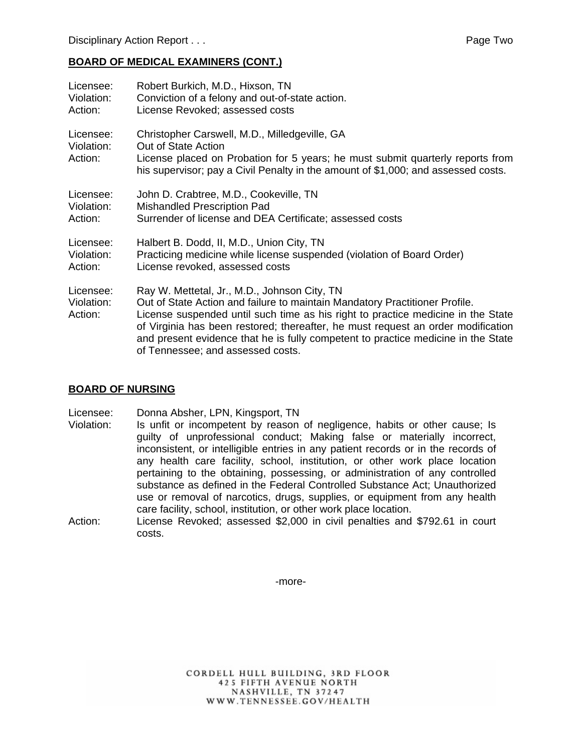#### **BOARD OF MEDICAL EXAMINERS (CONT.)**

| Licensee:                          | Robert Burkich, M.D., Hixson, TN                                                                                                                                                                                                                                                                                                                                                                                              |
|------------------------------------|-------------------------------------------------------------------------------------------------------------------------------------------------------------------------------------------------------------------------------------------------------------------------------------------------------------------------------------------------------------------------------------------------------------------------------|
| Violation:                         | Conviction of a felony and out-of-state action.                                                                                                                                                                                                                                                                                                                                                                               |
| Action:                            | License Revoked; assessed costs                                                                                                                                                                                                                                                                                                                                                                                               |
| Licensee:<br>Violation:<br>Action: | Christopher Carswell, M.D., Milledgeville, GA<br>Out of State Action<br>License placed on Probation for 5 years; he must submit quarterly reports from<br>his supervisor; pay a Civil Penalty in the amount of \$1,000; and assessed costs.                                                                                                                                                                                   |
| Licensee:                          | John D. Crabtree, M.D., Cookeville, TN                                                                                                                                                                                                                                                                                                                                                                                        |
| Violation:                         | Mishandled Prescription Pad                                                                                                                                                                                                                                                                                                                                                                                                   |
| Action:                            | Surrender of license and DEA Certificate; assessed costs                                                                                                                                                                                                                                                                                                                                                                      |
| Licensee:                          | Halbert B. Dodd, II, M.D., Union City, TN                                                                                                                                                                                                                                                                                                                                                                                     |
| Violation:                         | Practicing medicine while license suspended (violation of Board Order)                                                                                                                                                                                                                                                                                                                                                        |
| Action:                            | License revoked, assessed costs                                                                                                                                                                                                                                                                                                                                                                                               |
| Licensee:<br>Violation:<br>Action: | Ray W. Mettetal, Jr., M.D., Johnson City, TN<br>Out of State Action and failure to maintain Mandatory Practitioner Profile.<br>License suspended until such time as his right to practice medicine in the State<br>of Virginia has been restored; thereafter, he must request an order modification<br>and present evidence that he is fully competent to practice medicine in the State<br>of Tennessee; and assessed costs. |

#### **BOARD OF NURSING**

Licensee: Donna Absher, LPN, Kingsport, TN

- Violation: Is unfit or incompetent by reason of negligence, habits or other cause; Is guilty of unprofessional conduct; Making false or materially incorrect, inconsistent, or intelligible entries in any patient records or in the records of any health care facility, school, institution, or other work place location pertaining to the obtaining, possessing, or administration of any controlled substance as defined in the Federal Controlled Substance Act; Unauthorized use or removal of narcotics, drugs, supplies, or equipment from any health care facility, school, institution, or other work place location.
- Action: License Revoked; assessed \$2,000 in civil penalties and \$792.61 in court costs.

-more-

CORDELL HULL BUILDING, 3RD FLOOR **425 FIFTH AVENUE NORTH** NASHVILLE, TN 37247 WWW.TENNESSEE.GOV/HEALTH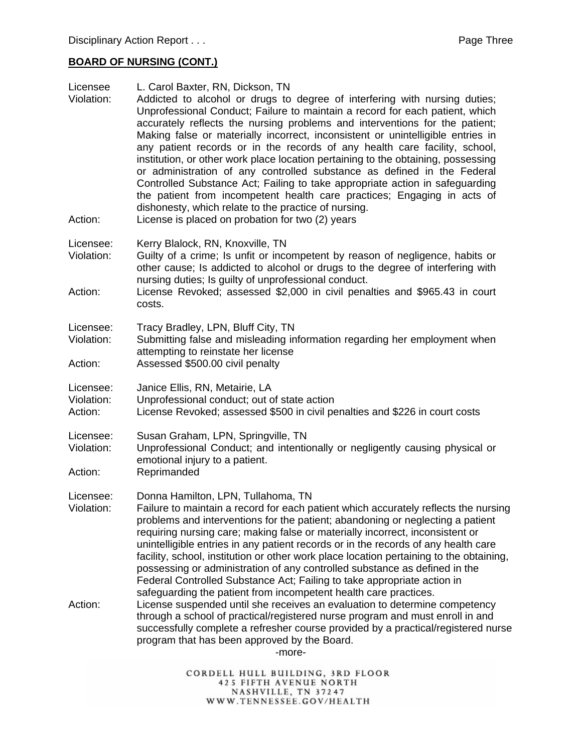# **BOARD OF NURSING (CONT.)**

| Licensee<br>Violation:             | L. Carol Baxter, RN, Dickson, TN<br>Addicted to alcohol or drugs to degree of interfering with nursing duties;<br>Unprofessional Conduct; Failure to maintain a record for each patient, which<br>accurately reflects the nursing problems and interventions for the patient;<br>Making false or materially incorrect, inconsistent or unintelligible entries in<br>any patient records or in the records of any health care facility, school,<br>institution, or other work place location pertaining to the obtaining, possessing<br>or administration of any controlled substance as defined in the Federal<br>Controlled Substance Act; Failing to take appropriate action in safeguarding<br>the patient from incompetent health care practices; Engaging in acts of<br>dishonesty, which relate to the practice of nursing.                                                                                                                                                                                        |
|------------------------------------|--------------------------------------------------------------------------------------------------------------------------------------------------------------------------------------------------------------------------------------------------------------------------------------------------------------------------------------------------------------------------------------------------------------------------------------------------------------------------------------------------------------------------------------------------------------------------------------------------------------------------------------------------------------------------------------------------------------------------------------------------------------------------------------------------------------------------------------------------------------------------------------------------------------------------------------------------------------------------------------------------------------------------|
| Action:                            | License is placed on probation for two (2) years                                                                                                                                                                                                                                                                                                                                                                                                                                                                                                                                                                                                                                                                                                                                                                                                                                                                                                                                                                         |
| Licensee:<br>Violation:<br>Action: | Kerry Blalock, RN, Knoxville, TN<br>Guilty of a crime; Is unfit or incompetent by reason of negligence, habits or<br>other cause; Is addicted to alcohol or drugs to the degree of interfering with<br>nursing duties; Is guilty of unprofessional conduct.<br>License Revoked; assessed \$2,000 in civil penalties and \$965.43 in court<br>costs.                                                                                                                                                                                                                                                                                                                                                                                                                                                                                                                                                                                                                                                                      |
| Licensee:<br>Violation:<br>Action: | Tracy Bradley, LPN, Bluff City, TN<br>Submitting false and misleading information regarding her employment when<br>attempting to reinstate her license<br>Assessed \$500.00 civil penalty                                                                                                                                                                                                                                                                                                                                                                                                                                                                                                                                                                                                                                                                                                                                                                                                                                |
| Licensee:<br>Violation:<br>Action: | Janice Ellis, RN, Metairie, LA<br>Unprofessional conduct; out of state action<br>License Revoked; assessed \$500 in civil penalties and \$226 in court costs                                                                                                                                                                                                                                                                                                                                                                                                                                                                                                                                                                                                                                                                                                                                                                                                                                                             |
| Licensee:<br>Violation:<br>Action: | Susan Graham, LPN, Springville, TN<br>Unprofessional Conduct; and intentionally or negligently causing physical or<br>emotional injury to a patient.<br>Reprimanded                                                                                                                                                                                                                                                                                                                                                                                                                                                                                                                                                                                                                                                                                                                                                                                                                                                      |
| Licensee:<br>Violation:<br>Action: | Donna Hamilton, LPN, Tullahoma, TN<br>Failure to maintain a record for each patient which accurately reflects the nursing<br>problems and interventions for the patient; abandoning or neglecting a patient<br>requiring nursing care; making false or materially incorrect, inconsistent or<br>unintelligible entries in any patient records or in the records of any health care<br>facility, school, institution or other work place location pertaining to the obtaining,<br>possessing or administration of any controlled substance as defined in the<br>Federal Controlled Substance Act; Failing to take appropriate action in<br>safeguarding the patient from incompetent health care practices.<br>License suspended until she receives an evaluation to determine competency<br>through a school of practical/registered nurse program and must enroll in and<br>successfully complete a refresher course provided by a practical/registered nurse<br>program that has been approved by the Board.<br>-more- |
|                                    | CORDELL HULL BUILDING, 3RD FLOOR<br>425 FIFTH AVENUE NORTH<br>NASHVILLE, TN 37247<br>WWW.TENNESSEE.GOV/HEALTH                                                                                                                                                                                                                                                                                                                                                                                                                                                                                                                                                                                                                                                                                                                                                                                                                                                                                                            |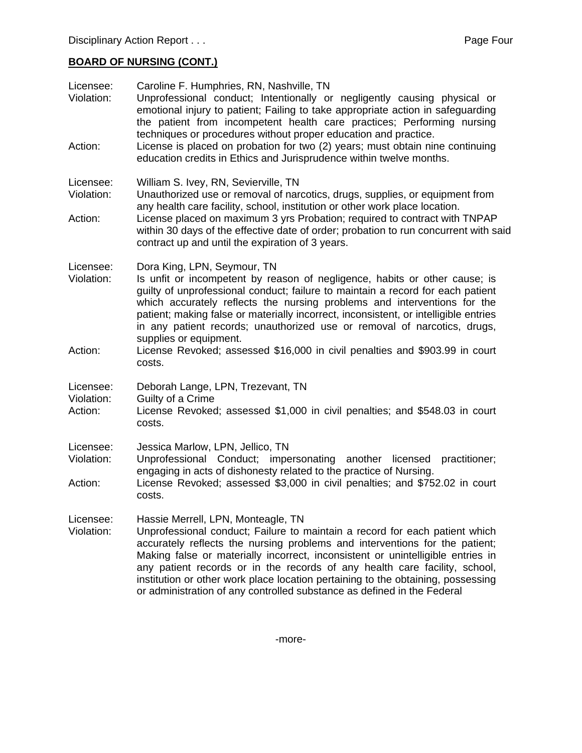# **BOARD OF NURSING (CONT.)**

| Licensee:<br>Violation:<br>Action: | Caroline F. Humphries, RN, Nashville, TN<br>Unprofessional conduct; Intentionally or negligently causing physical or<br>emotional injury to patient; Failing to take appropriate action in safeguarding<br>the patient from incompetent health care practices; Performing nursing<br>techniques or procedures without proper education and practice.<br>License is placed on probation for two (2) years; must obtain nine continuing<br>education credits in Ethics and Jurisprudence within twelve months.                                                    |
|------------------------------------|-----------------------------------------------------------------------------------------------------------------------------------------------------------------------------------------------------------------------------------------------------------------------------------------------------------------------------------------------------------------------------------------------------------------------------------------------------------------------------------------------------------------------------------------------------------------|
| Licensee:<br>Violation:<br>Action: | William S. Ivey, RN, Sevierville, TN<br>Unauthorized use or removal of narcotics, drugs, supplies, or equipment from<br>any health care facility, school, institution or other work place location.<br>License placed on maximum 3 yrs Probation; required to contract with TNPAP<br>within 30 days of the effective date of order; probation to run concurrent with said<br>contract up and until the expiration of 3 years.                                                                                                                                   |
| Licensee:<br>Violation:<br>Action: | Dora King, LPN, Seymour, TN<br>Is unfit or incompetent by reason of negligence, habits or other cause; is<br>guilty of unprofessional conduct; failure to maintain a record for each patient<br>which accurately reflects the nursing problems and interventions for the<br>patient; making false or materially incorrect, inconsistent, or intelligible entries<br>in any patient records; unauthorized use or removal of narcotics, drugs,<br>supplies or equipment.<br>License Revoked; assessed \$16,000 in civil penalties and \$903.99 in court<br>costs. |
| Licensee:<br>Violation:<br>Action: | Deborah Lange, LPN, Trezevant, TN<br>Guilty of a Crime<br>License Revoked; assessed \$1,000 in civil penalties; and \$548.03 in court<br>costs.                                                                                                                                                                                                                                                                                                                                                                                                                 |
| Licensee:<br>Violation:<br>Action: | Jessica Marlow, LPN, Jellico, TN<br>Unprofessional Conduct; impersonating another licensed<br>practitioner;<br>engaging in acts of dishonesty related to the practice of Nursing.<br>License Revoked; assessed \$3,000 in civil penalties; and \$752.02 in court<br>costs.                                                                                                                                                                                                                                                                                      |
| Licensee:<br>Violation:            | Hassie Merrell, LPN, Monteagle, TN<br>Unprofessional conduct; Failure to maintain a record for each patient which<br>accurately reflects the nursing problems and interventions for the patient;<br>Making false or materially incorrect, inconsistent or unintelligible entries in<br>any patient records or in the records of any health care facility, school,<br>institution or other work place location pertaining to the obtaining, possessing<br>or administration of any controlled substance as defined in the Federal                                |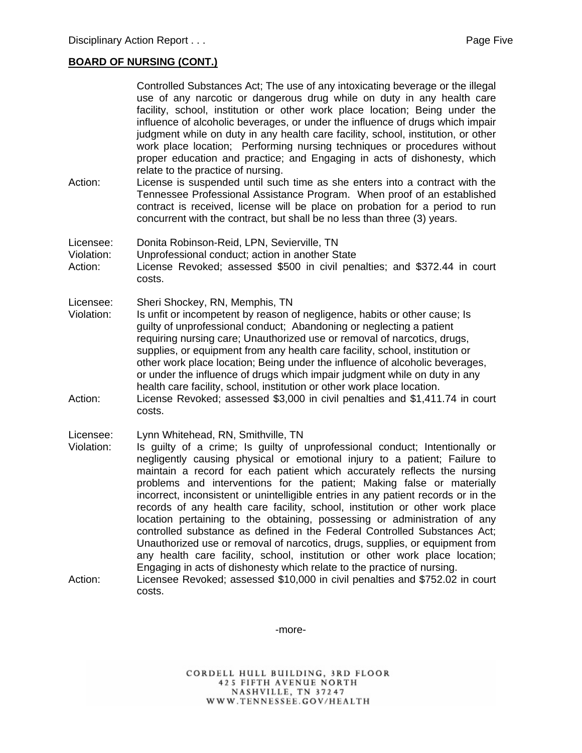# **BOARD OF NURSING (CONT.)**

| Action:                            | Controlled Substances Act; The use of any intoxicating beverage or the illegal<br>use of any narcotic or dangerous drug while on duty in any health care<br>facility, school, institution or other work place location; Being under the<br>influence of alcoholic beverages, or under the influence of drugs which impair<br>judgment while on duty in any health care facility, school, institution, or other<br>work place location; Performing nursing techniques or procedures without<br>proper education and practice; and Engaging in acts of dishonesty, which<br>relate to the practice of nursing.<br>License is suspended until such time as she enters into a contract with the<br>Tennessee Professional Assistance Program. When proof of an established<br>contract is received, license will be place on probation for a period to run<br>concurrent with the contract, but shall be no less than three (3) years.                                                                                       |
|------------------------------------|--------------------------------------------------------------------------------------------------------------------------------------------------------------------------------------------------------------------------------------------------------------------------------------------------------------------------------------------------------------------------------------------------------------------------------------------------------------------------------------------------------------------------------------------------------------------------------------------------------------------------------------------------------------------------------------------------------------------------------------------------------------------------------------------------------------------------------------------------------------------------------------------------------------------------------------------------------------------------------------------------------------------------|
| Licensee:<br>Violation:<br>Action: | Donita Robinson-Reid, LPN, Sevierville, TN<br>Unprofessional conduct; action in another State<br>License Revoked; assessed \$500 in civil penalties; and \$372.44 in court<br>costs.                                                                                                                                                                                                                                                                                                                                                                                                                                                                                                                                                                                                                                                                                                                                                                                                                                     |
| Licensee:<br>Violation:<br>Action: | Sheri Shockey, RN, Memphis, TN<br>Is unfit or incompetent by reason of negligence, habits or other cause; Is<br>guilty of unprofessional conduct; Abandoning or neglecting a patient<br>requiring nursing care; Unauthorized use or removal of narcotics, drugs,<br>supplies, or equipment from any health care facility, school, institution or<br>other work place location; Being under the influence of alcoholic beverages,<br>or under the influence of drugs which impair judgment while on duty in any<br>health care facility, school, institution or other work place location.<br>License Revoked; assessed \$3,000 in civil penalties and \$1,411.74 in court<br>costs.                                                                                                                                                                                                                                                                                                                                      |
| Licensee:<br>Violation:<br>Action: | Lynn Whitehead, RN, Smithville, TN<br>Is guilty of a crime; Is guilty of unprofessional conduct; Intentionally or<br>negligently causing physical or emotional injury to a patient; Failure to<br>maintain a record for each patient which accurately reflects the nursing<br>problems and interventions for the patient; Making false or materially<br>incorrect, inconsistent or unintelligible entries in any patient records or in the<br>records of any health care facility, school, institution or other work place<br>location pertaining to the obtaining, possessing or administration of any<br>controlled substance as defined in the Federal Controlled Substances Act;<br>Unauthorized use or removal of narcotics, drugs, supplies, or equipment from<br>any health care facility, school, institution or other work place location;<br>Engaging in acts of dishonesty which relate to the practice of nursing.<br>Licensee Revoked; assessed \$10,000 in civil penalties and \$752.02 in court<br>costs. |

-more-

CORDELL HULL BUILDING, 3RD FLOOR<br>425 FIFTH AVENUE NORTH<br>NASHVILLE, TN 37247<br>WWW.TENNESSEE.GOV/HEALTH